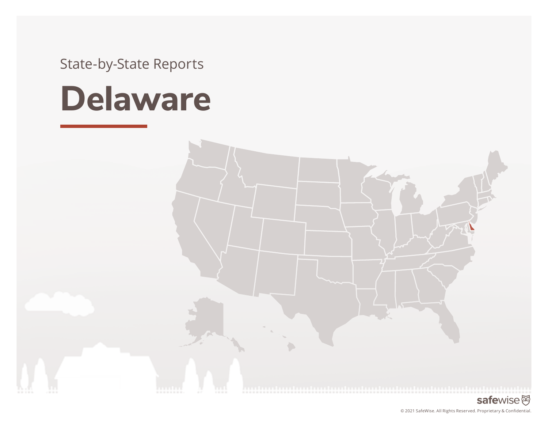State-by-State Reports

# **Delaware**

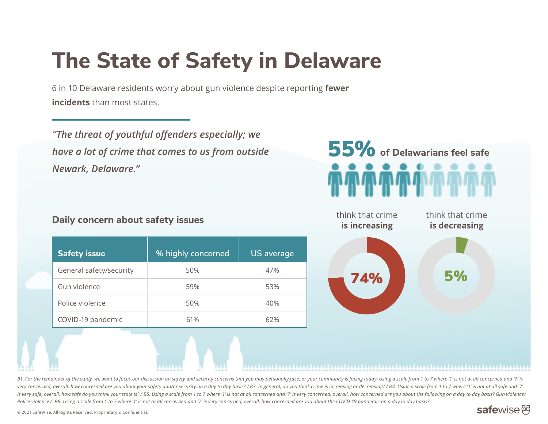# **The State of Safety in Delaware**

6 in 10 Delaware residents worry about gun violence despite reporting **fewer incidents** than most states.

*"The threat of youthful offenders especially; we have a lot of crime that comes to us from outside Newark, Delaware."*

#### **Daily concern about safety issues**

|  | <b>Safety issue</b>     | % highly concerned | <b>US</b> average |
|--|-------------------------|--------------------|-------------------|
|  | General safety/security | 50%                | 47%               |
|  | Gun violence            | 59%                | 53%               |
|  | Police violence         | 50%                | 40%               |
|  | COVID-19 pandemic       | 61%                | 62%               |





B1. For the remainder of the study, we want to focus our discussion on safety and security concerns that you may personally face, or your community is facing today. Using a scale from 1 to 7 where '1' is not at all concern very concerned, overall, how concerned are you about your safety and/or security on a day to day basis? / B3. In general, do you think crime is increasing or decreasing? / B4. Using a scale from 1 to 7 where '1' is not at is very safe, overall, how safe do you think your state is? / B5. Using a scale from 1 to 7 where '1' is not at all concerned and '7' is very concerned, overall, how concerned are you about the following on a day to day ba *Police violence / B8. Using a scale from 1 to 7 where '1' is not at all concerned and '7' is very concerned, overall, how concerned are you about the COVID-19 pandemic on a day to day basis?* 

#### safewise函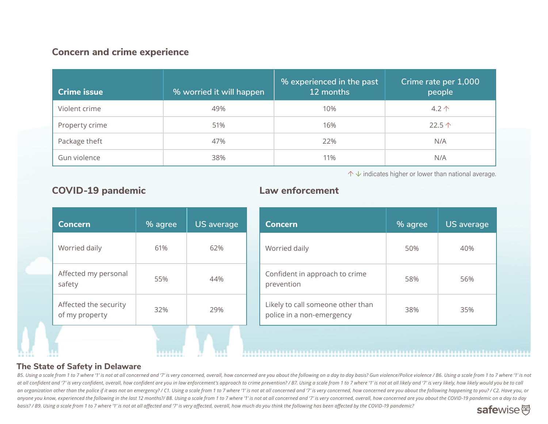#### **Concern and crime experience**

| <b>Crime issue</b> | % worried it will happen | % experienced in the past<br>12 months | Crime rate per 1,000<br>people |
|--------------------|--------------------------|----------------------------------------|--------------------------------|
| Violent crime      | 49%                      | 10%                                    | $4.2 \uparrow$                 |
| Property crime     | 51%                      | 16%                                    | 22.5 $\uparrow$                |
| Package theft      | 47%                      | 22%                                    | N/A                            |
| Gun violence       | 38%                      | 11%                                    | N/A                            |

↑ **↓** indicates higher or lower than national average.

| <b>Concern</b>                          | % agree | <b>US</b> average |
|-----------------------------------------|---------|-------------------|
| Worried daily                           | 61%     | 62%               |
| Affected my personal<br>safety          | 55%     | 44%               |
| Affected the security<br>of my property | 32%     | 29%               |
|                                         |         |                   |

**TELESTIN** 

#### **COVID-19 pandemic Law enforcement**

| <b>Concern</b>                                                 | % agree | <b>US</b> average |
|----------------------------------------------------------------|---------|-------------------|
| Worried daily                                                  | 50%     | 40%               |
| Confident in approach to crime<br>prevention                   | 58%     | 56%               |
| Likely to call someone other than<br>police in a non-emergency | 38%     | 35%               |

#### **The State of Safety in Delaware**

B5. Using a scale from 1 to 7 where '1' is not at all concerned and '7' is very concerned, overall, how concerned are you about the following on a day to day basis? Gun violence/Police violence/ B6. Using a scale from 1 to at all confident and '7' is very confident, overall, how confident are you in law enforcement's approach to crime prevention? / B7. Using a scale from 1 to 7 where '1' is not at all likely and '7' is very likely, how likel an organization other than the police if it was not an emergency? / C1. Using a scale from 1 to 7 where '1' is not at all concerned and '7' is very concerned, how concerned are you about the following happening to you? / C anyone you know, experienced the following in the last 12 months?/ B8. Using a scale from 1 to 7 where '1' is not at all concerned and '7' is very concerned, overall, how concerned are you about the COVID-19 pandemic on a *basis? / B9. Using a scale from 1 to 7 where '1' is not at all affected and '7' is very affected, overall, how much do you think the following has been affected by the COVID-19 pandemic?*  safewise<sup>函</sup>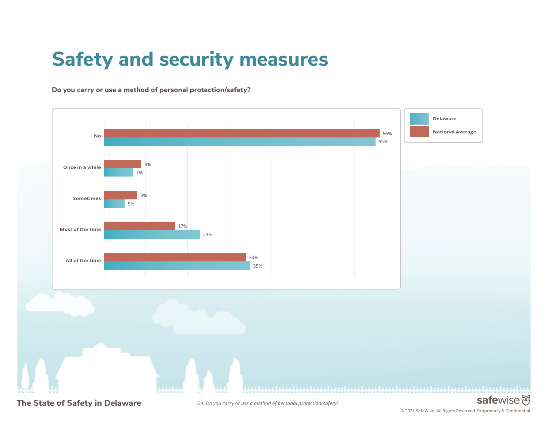## **Safety and security measures**

**Do you carry or use a method of personal protection/safety?** 



© 2021 SafeWise. All Rights Reserved. Proprietary & Confidential.